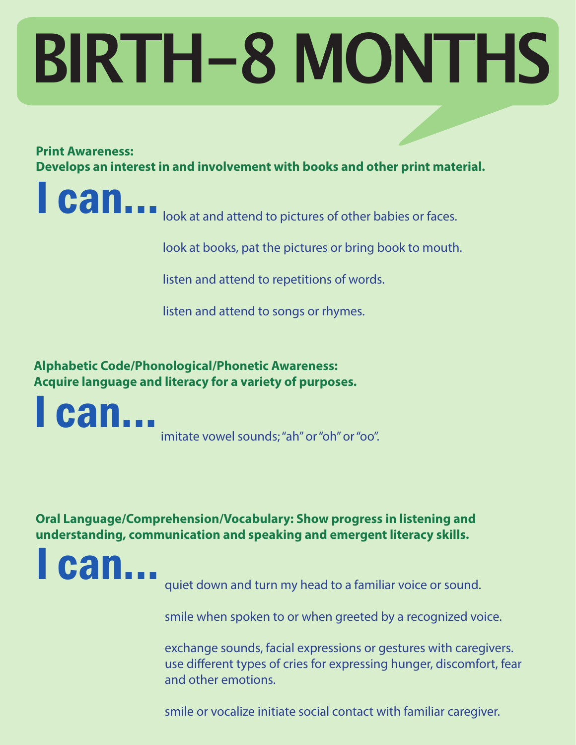# **BIRTH-8 MONTHS**

#### **Print Awareness:**

**Develops an interest in and involvement with books and other print material.**



**Can...** look at and attend to pictures of other babies or faces.

look at books, pat the pictures or bring book to mouth.

listen and attend to repetitions of words.

listen and attend to songs or rhymes.

**Alphabetic Code/Phonological/Phonetic Awareness: Acquire language and literacy for a variety of purposes.**

I can... imitate vowel sounds; "ah" or "oh" or "oo".

**Oral Language/Comprehension/Vocabulary: Show progress in listening and understanding, communication and speaking and emergent literacy skills.**



quiet down and turn my head to a familiar voice or sound.

smile when spoken to or when greeted by a recognized voice.

exchange sounds, facial expressions or gestures with caregivers. use different types of cries for expressing hunger, discomfort, fear and other emotions.

smile or vocalize initiate social contact with familiar caregiver.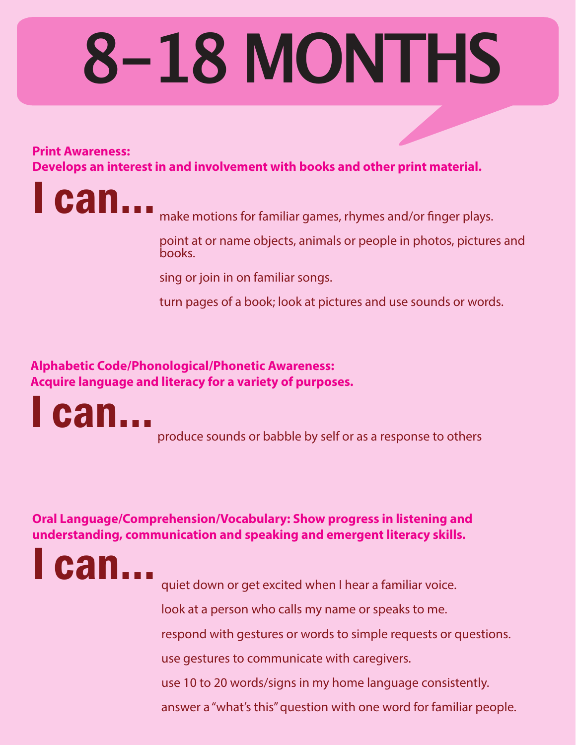### **8-18 MONTHS**

#### **Print Awareness:**

**Develops an interest in and involvement with books and other print material.**



**Can...** make motions for familiar games, rhymes and/or finger plays.

point at or name objects, animals or people in photos, pictures and books.

sing or join in on familiar songs.

turn pages of a book; look at pictures and use sounds or words.

**Alphabetic Code/Phonological/Phonetic Awareness: Acquire language and literacy for a variety of purposes.**



produce sounds or babble by self or as a response to others

**Oral Language/Comprehension/Vocabulary: Show progress in listening and understanding, communication and speaking and emergent literacy skills.**



quiet down or get excited when I hear a familiar voice.

look at a person who calls my name or speaks to me.

respond with gestures or words to simple requests or questions.

use gestures to communicate with caregivers.

use 10 to 20 words/signs in my home language consistently.

answer a "what's this" question with one word for familiar people.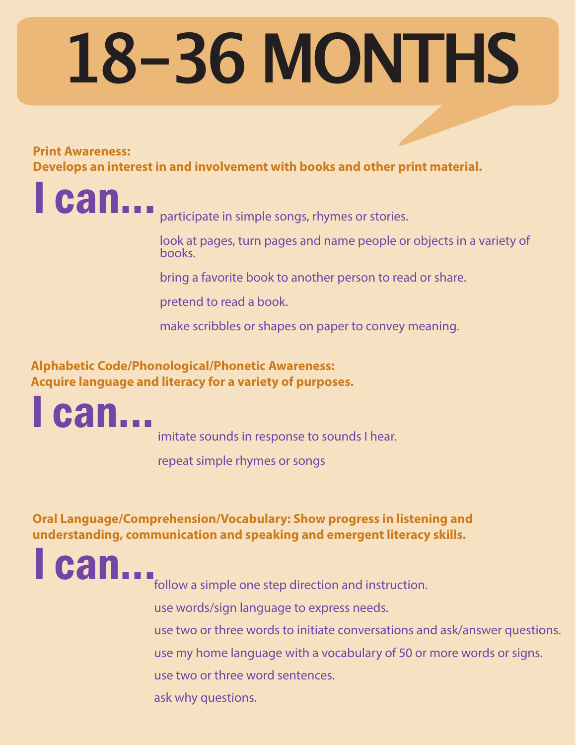## **18-36 MONTHS**

#### **Print Awareness:**

**Develops an interest in and involvement with books and other print material.**

**Can...** participate in simple songs, rhymes or stories.

look at pages, turn pages and name people or objects in a variety of books.

bring a favorite book to another person to read or share.

pretend to read a book.

make scribbles or shapes on paper to convey meaning.

**Alphabetic Code/Phonological/Phonetic Awareness: Acquire language and literacy for a variety of purposes.**



imitate sounds in response to sounds I hear.

repeat simple rhymes or songs

**Oral Language/Comprehension/Vocabulary: Show progress in listening and understanding, communication and speaking and emergent literacy skills.**

can...

follow a simple one step direction and instruction.

use words/sign language to express needs.

use two or three words to initiate conversations and ask/answer questions.

use my home language with a vocabulary of 50 or more words or signs.

use two or three word sentences.

ask why questions.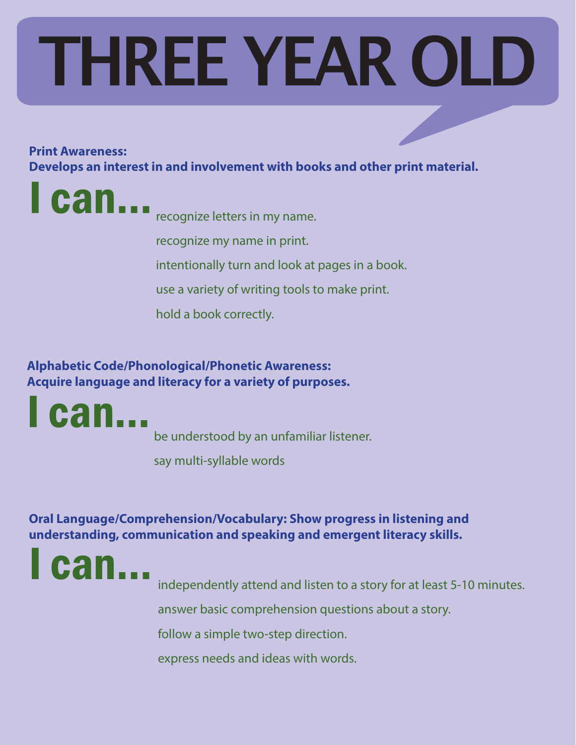# **THREE YEAR OLD**

#### **Print Awareness:**

**Develops an interest in and involvement with books and other print material.**

**Can...** recognize letters in my name. recognize my name in print. intentionally turn and look at pages in a book. use a variety of writing tools to make print. hold a book correctly.

**Alphabetic Code/Phonological/Phonetic Awareness: Acquire language and literacy for a variety of purposes.**

**can...** 

be understood by an unfamiliar listener.

say multi-syllable words

**Oral Language/Comprehension/Vocabulary: Show progress in listening and understanding, communication and speaking and emergent literacy skills.**



independently attend and listen to a story for at least 5-10 minutes.

answer basic comprehension questions about a story.

follow a simple two-step direction.

express needs and ideas with words.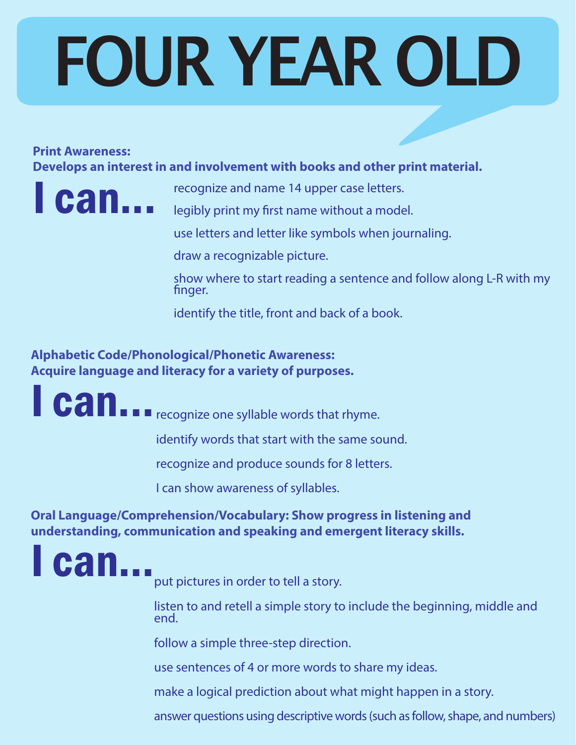# **FOUR YEAR OLD**

#### **Print Awareness:**

**Develops an interest in and involvement with books and other print material.**



**Can...** recognize and name 14 upper case letters.

legibly print my first name without a model.

use letters and letter like symbols when journaling.

draw a recognizable picture.

show where to start reading a sentence and follow along L-R with my finger.

identify the title, front and back of a book.

**Alphabetic Code/Phonological/Phonetic Awareness: Acquire language and literacy for a variety of purposes.**

I can... recognize one syllable words that rhyme.

identify words that start with the same sound.

recognize and produce sounds for 8 letters.

I can show awareness of syllables.

**Oral Language/Comprehension/Vocabulary: Show progress in listening and understanding, communication and speaking and emergent literacy skills.**

**can...** 

put pictures in order to tell a story.

listen to and retell a simple story to include the beginning, middle and end.

follow a simple three-step direction.

use sentences of 4 or more words to share my ideas.

make a logical prediction about what might happen in a story.

answer questions using descriptive words (such as follow, shape, and numbers)